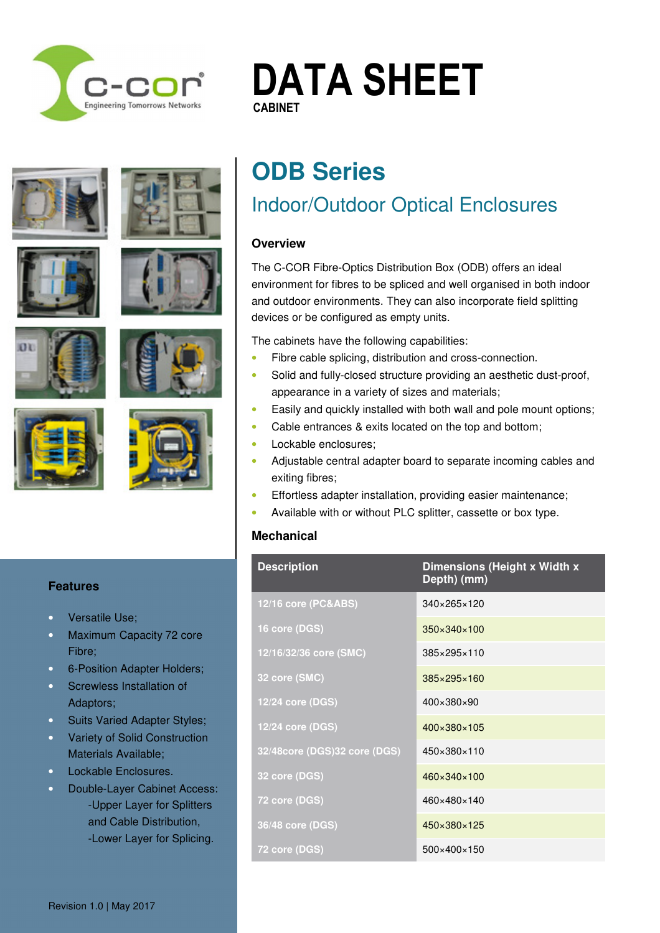

# **DATA SHEET CABINET CABINET**















# **ODB Series**

### Indoor/Outdoor Optical Enclosures

### **Overview**

The C-COR Fibre-Optics Distribution Box (ODB) offers an ideal environment for fibres to be spliced and well organised in both indoor and outdoor environments. They can also incorporate field splitting devices or be configured as empty units.

The cabinets have the following capabilities:

- Fibre cable splicing, distribution and cross-connection.
- Solid and fully-closed structure providing an aesthetic dust-proof, appearance in a variety of sizes and materials;
- Easily and quickly installed with both wall and pole mount options;
- Cable entrances & exits located on the top and bottom;
- Lockable enclosures:
- Adjustable central adapter board to separate incoming cables and exiting fibres;
- Effortless adapter installation, providing easier maintenance;
- Available with or without PLC splitter, cassette or box type.

### **Mechanical**

|  | <b>Description</b>           | Dimensions (Height x Width x<br>Depth) (mm) |
|--|------------------------------|---------------------------------------------|
|  | 12/16 core (PC&ABS)          | 340×265×120                                 |
|  | 16 core (DGS)                | $350 \times 340 \times 100$                 |
|  | 12/16/32/36 core (SMC)       | 385×295×110                                 |
|  | 32 core (SMC)                | 385×295×160                                 |
|  | 12/24 core (DGS)             | 400×380×90                                  |
|  | 12/24 core (DGS)             | 400×380×105                                 |
|  | 32/48core (DGS)32 core (DGS) | 450×380×110                                 |
|  | 32 core (DGS)                | 460×340×100                                 |
|  | 72 core (DGS)                | 460×480×140                                 |
|  | 36/48 core (DGS)             | $450 \times 380 \times 125$                 |
|  | 72 core (DGS)                | $500\times400\times150$                     |

#### **Features**

- Versatile Use;
- Maximum Capacity 72 core Fibre;
- 6-Position Adapter Holders;
- Screwless Installation of Adaptors;
- Suits Varied Adapter Styles;
- Variety of Solid Construction Materials Available;
- Lockable Enclosures.
- Double-Layer Cabinet Access: **Ends** -Upper Layer for Splitters and Cable Distribution, specifications are subseted to all all specific subsets are subject to  $\mathsf{F}$  .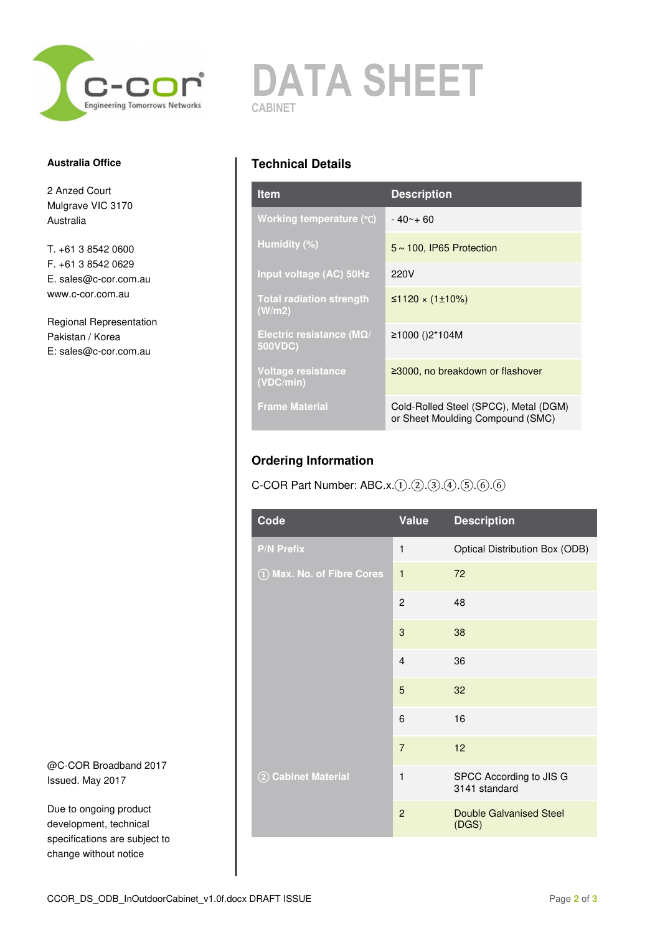

#### **Australia Office**

2 Anzed Court Mulgrave VIC 3170 Australia

T. +61 3 8542 0600 F. +61 3 8542 0629 E. sales@c-cor.com.au www.c-cor.com.au

Regional Representation Pakistan / Korea E: sales@c-cor.com.au

@C-COR Broadband 2017 Issued. May 2017

Due to ongoing product development, technical specifications are subject to change without notice

## **DATA SHEET CABINET**

### **Technical Details**

| <b>Item</b>                                  | <b>Description</b>                                                        |  |
|----------------------------------------------|---------------------------------------------------------------------------|--|
| Working temperature (°C)                     | $-40 - +60$                                                               |  |
| Humidity (%)                                 | $5 \sim 100$ , IP65 Protection                                            |  |
| Input voltage (AC) 50Hz                      | 220V                                                                      |  |
| <b>Total radiation strength</b><br>(W/m2)    | ≤1120 × (1±10%)                                                           |  |
| Electric resistance ( $M\Omega$ /<br>500VDC) | ≥1000 ()2*104M                                                            |  |
| Voltage resistance<br>(VDC/min)              | ≥3000, no breakdown or flashover                                          |  |
| <b>Frame Material</b>                        | Cold-Rolled Steel (SPCC), Metal (DGM)<br>or Sheet Moulding Compound (SMC) |  |

### **Ordering Information**

### C-COR Part Number: ABC.x.①.②.③.④.⑤.⑥.⑥

| Code                           | <b>Value</b>   | <b>Description</b>                       |
|--------------------------------|----------------|------------------------------------------|
| <b>P/N Prefix</b>              | 1              | Optical Distribution Box (ODB)           |
| 1) Max. No. of Fibre Cores     | $\overline{1}$ | 72                                       |
|                                | $\overline{2}$ | 48                                       |
|                                | 3              | 38                                       |
|                                | $\overline{4}$ | 36                                       |
|                                | 5              | 32                                       |
|                                | 6              | 16                                       |
|                                | $\overline{7}$ | 12                                       |
| <b>Cabinet Material</b><br>(2) | 1              | SPCC According to JIS G<br>3141 standard |
|                                | $\overline{2}$ | <b>Double Galvanised Steel</b><br>(DGS)  |
|                                |                |                                          |